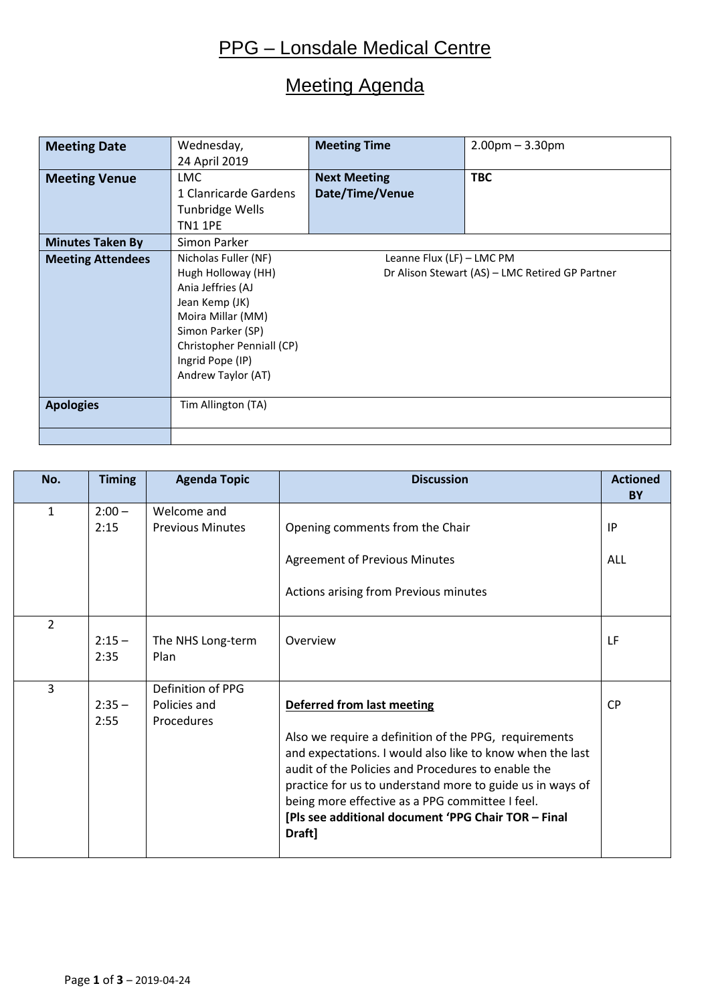## PPG – Lonsdale Medical Centre

## Meeting Agenda

| <b>Meeting Date</b>      | Wednesday,                | <b>Meeting Time</b>                             | $2.00$ pm $- 3.30$ pm |  |
|--------------------------|---------------------------|-------------------------------------------------|-----------------------|--|
|                          | 24 April 2019             |                                                 |                       |  |
| <b>Meeting Venue</b>     | <b>LMC</b>                | <b>Next Meeting</b>                             | <b>TBC</b>            |  |
|                          | 1 Clanricarde Gardens     | Date/Time/Venue                                 |                       |  |
|                          | Tunbridge Wells           |                                                 |                       |  |
|                          | <b>TN1 1PE</b>            |                                                 |                       |  |
| <b>Minutes Taken By</b>  | Simon Parker              |                                                 |                       |  |
| <b>Meeting Attendees</b> | Nicholas Fuller (NF)      | Leanne Flux (LF) - LMC PM                       |                       |  |
|                          | Hugh Holloway (HH)        | Dr Alison Stewart (AS) - LMC Retired GP Partner |                       |  |
|                          | Ania Jeffries (AJ         |                                                 |                       |  |
|                          | Jean Kemp (JK)            |                                                 |                       |  |
|                          | Moira Millar (MM)         |                                                 |                       |  |
|                          | Simon Parker (SP)         |                                                 |                       |  |
|                          | Christopher Penniall (CP) |                                                 |                       |  |
|                          | Ingrid Pope (IP)          |                                                 |                       |  |
|                          | Andrew Taylor (AT)        |                                                 |                       |  |
|                          |                           |                                                 |                       |  |
| <b>Apologies</b>         | Tim Allington (TA)        |                                                 |                       |  |
|                          |                           |                                                 |                       |  |
|                          |                           |                                                 |                       |  |

| No.            | <b>Timing</b> | <b>Agenda Topic</b>     | <b>Discussion</b>                                         | <b>Actioned</b> |
|----------------|---------------|-------------------------|-----------------------------------------------------------|-----------------|
|                |               |                         |                                                           | <b>BY</b>       |
| $\mathbf{1}$   | $2:00 -$      | Welcome and             |                                                           |                 |
|                | 2:15          | <b>Previous Minutes</b> | Opening comments from the Chair                           | IP              |
|                |               |                         |                                                           |                 |
|                |               |                         | <b>Agreement of Previous Minutes</b>                      | <b>ALL</b>      |
|                |               |                         |                                                           |                 |
|                |               |                         | Actions arising from Previous minutes                     |                 |
|                |               |                         |                                                           |                 |
| $\overline{2}$ |               |                         |                                                           |                 |
|                | $2:15 -$      | The NHS Long-term       | Overview                                                  | LF              |
|                | 2:35          | Plan                    |                                                           |                 |
|                |               |                         |                                                           |                 |
| 3              |               | Definition of PPG       |                                                           |                 |
|                | $2:35 -$      | Policies and            | Deferred from last meeting                                | <b>CP</b>       |
|                | 2:55          | Procedures              |                                                           |                 |
|                |               |                         | Also we require a definition of the PPG, requirements     |                 |
|                |               |                         | and expectations. I would also like to know when the last |                 |
|                |               |                         | audit of the Policies and Procedures to enable the        |                 |
|                |               |                         |                                                           |                 |
|                |               |                         | practice for us to understand more to guide us in ways of |                 |
|                |               |                         | being more effective as a PPG committee I feel.           |                 |
|                |               |                         | [Pls see additional document 'PPG Chair TOR - Final       |                 |
|                |               |                         | Draft]                                                    |                 |
|                |               |                         |                                                           |                 |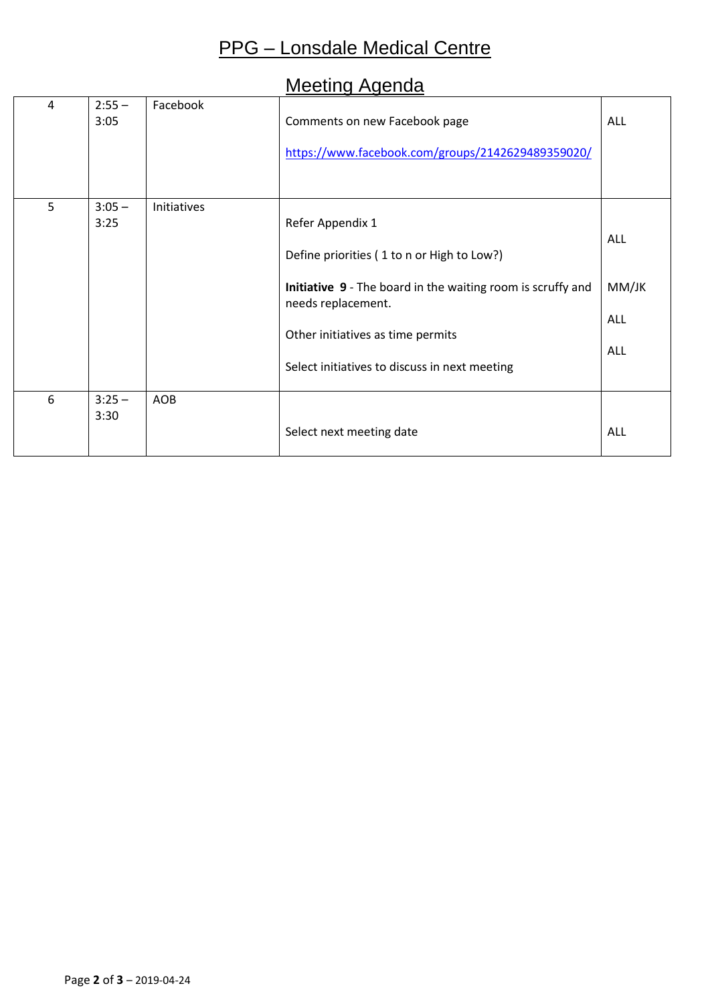# PPG – Lonsdale Medical Centre

#### Meeting Agenda

| 4 | $2:55 -$<br>3:05 | Facebook    | Comments on new Facebook page<br>https://www.facebook.com/groups/2142629489359020/                                                                                                                                                        | <b>ALL</b>                                      |
|---|------------------|-------------|-------------------------------------------------------------------------------------------------------------------------------------------------------------------------------------------------------------------------------------------|-------------------------------------------------|
| 5 | $3:05 -$<br>3:25 | Initiatives | Refer Appendix 1<br>Define priorities (1 to n or High to Low?)<br>Initiative 9 - The board in the waiting room is scruffy and<br>needs replacement.<br>Other initiatives as time permits<br>Select initiatives to discuss in next meeting | <b>ALL</b><br>MM/JK<br><b>ALL</b><br><b>ALL</b> |
| 6 | $3:25 -$<br>3:30 | AOB         | Select next meeting date                                                                                                                                                                                                                  | <b>ALL</b>                                      |